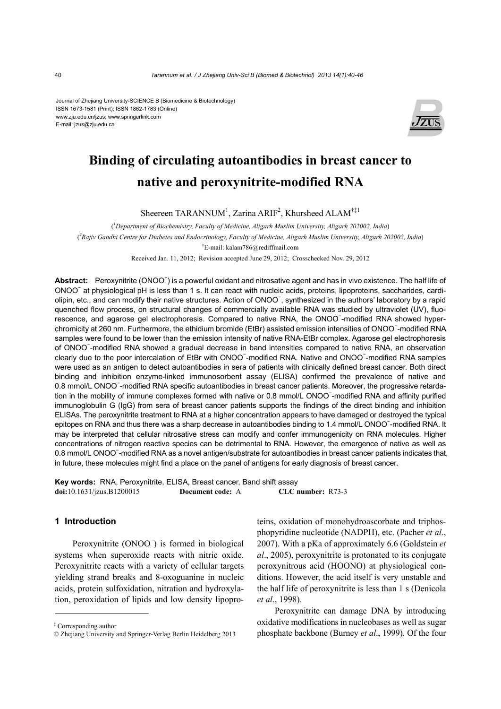Journal of Zhejiang University-SCIENCE B (Biomedicine & Biotechnology) ISSN 1673-1581 (Print); ISSN 1862-1783 (Online) www.zju.edu.cn/jzus; www.springerlink.com E-mail: jzus@zju.edu.cn



# **Binding of circulating autoantibodies in breast cancer to native and peroxynitrite-modified RNA**

Sheereen TARANNUM<sup>1</sup>, Zarina ARIF<sup>2</sup>, Khursheed ALAM<sup>†‡1</sup>

( *1 Department of Biochemistry, Faculty of Medicine, Aligarh Muslim University, Aligarh 202002, India*) ( *2 Rajiv Gandhi Centre for Diabetes and Endocrinology, Faculty of Medicine, Aligarh Muslim University, Aligarh 202002, India*) † E-mail: kalam786@rediffmail.com

Received Jan. 11, 2012; Revision accepted June 29, 2012; Crosschecked Nov. 29, 2012

Abstract: Peroxynitrite (ONOO<sup>-</sup>) is a powerful oxidant and nitrosative agent and has in vivo existence. The half life of ONOO<sup>−</sup> at physiological pH is less than 1 s. It can react with nucleic acids, proteins, lipoproteins, saccharides, cardiolipin, etc., and can modify their native structures. Action of ONOO<sup>-</sup>, synthesized in the authors' laboratory by a rapid quenched flow process, on structural changes of commercially available RNA was studied by ultraviolet (UV), fluorescence, and agarose gel electrophoresis. Compared to native RNA, the ONOO<sup>-</sup>-modified RNA showed hyperchromicity at 260 nm. Furthermore, the ethidium bromide (EtBr) assisted emission intensities of ONOO<sup>−</sup> -modified RNA samples were found to be lower than the emission intensity of native RNA-EtBr complex. Agarose gel electrophoresis of ONOO<sup>−</sup> -modified RNA showed a gradual decrease in band intensities compared to native RNA, an observation clearly due to the poor intercalation of EtBr with ONOO<sup>-</sup>-modified RNA. Native and ONOO<sup>-</sup>-modified RNA samples were used as an antigen to detect autoantibodies in sera of patients with clinically defined breast cancer. Both direct binding and inhibition enzyme-linked immunosorbent assay (ELISA) confirmed the prevalence of native and 0.8 mmol/L ONOO<sup>-</sup>-modified RNA specific autoantibodies in breast cancer patients. Moreover, the progressive retardation in the mobility of immune complexes formed with native or 0.8 mmol/L ONOO<sup>-</sup>-modified RNA and affinity purified immunoglobulin G (IgG) from sera of breast cancer patients supports the findings of the direct binding and inhibition ELISAs. The peroxynitrite treatment to RNA at a higher concentration appears to have damaged or destroyed the typical epitopes on RNA and thus there was a sharp decrease in autoantibodies binding to 1.4 mmol/L ONOO<sup>-</sup>-modified RNA. It may be interpreted that cellular nitrosative stress can modify and confer immunogenicity on RNA molecules. Higher concentrations of nitrogen reactive species can be detrimental to RNA. However, the emergence of native as well as 0.8 mmol/L ONOO<sup>-</sup>-modified RNA as a novel antigen/substrate for autoantibodies in breast cancer patients indicates that, in future, these molecules might find a place on the panel of antigens for early diagnosis of breast cancer.

**Key words:** RNA, Peroxynitrite, ELISA, Breast cancer, Band shift assay **doi:**10.1631/jzus.B1200015 **Document code:** A **CLC number:** R73-3

## **1 Introduction**

Peroxynitrite (ONOO ) is formed in biological systems when superoxide reacts with nitric oxide. Peroxynitrite reacts with a variety of cellular targets yielding strand breaks and 8-oxoguanine in nucleic acids, protein sulfoxidation, nitration and hydroxylation, peroxidation of lipids and low density lipoproteins, oxidation of monohydroascorbate and triphosphopyridine nucleotide (NADPH), etc. (Pacher *et al*., 2007). With a pKa of approximately 6.6 (Goldstein *et al*., 2005), peroxynitrite is protonated to its conjugate peroxynitrous acid (HOONO) at physiological conditions. However, the acid itself is very unstable and the half life of peroxynitrite is less than 1 s (Denicola *et al*., 1998).

Peroxynitrite can damage DNA by introducing oxidative modifications in nucleobases as well as sugar phosphate backbone (Burney *et al*., 1999). Of the four

<sup>‡</sup> Corresponding author

<sup>©</sup> Zhejiang University and Springer-Verlag Berlin Heidelberg 2013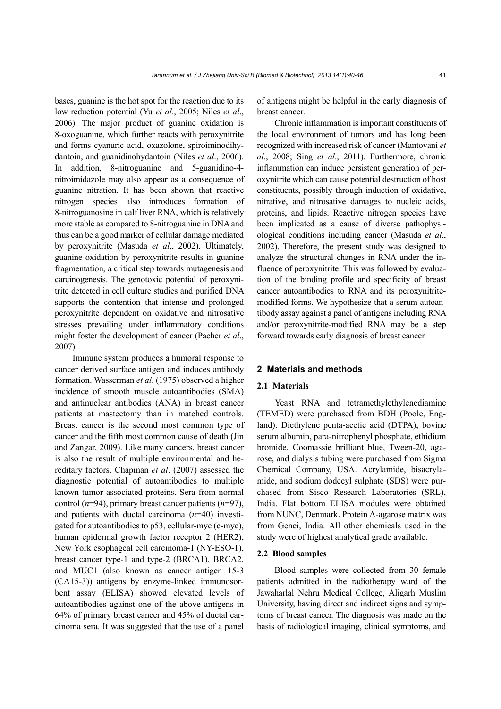bases, guanine is the hot spot for the reaction due to its low reduction potential (Yu *et al*., 2005; Niles *et al*., 2006). The major product of guanine oxidation is 8-oxoguanine, which further reacts with peroxynitrite and forms cyanuric acid, oxazolone, spiroiminodihydantoin, and guanidinohydantoin (Niles *et al*., 2006). In addition, 8-nitroguanine and 5-guanidino-4 nitroimidazole may also appear as a consequence of guanine nitration. It has been shown that reactive nitrogen species also introduces formation of 8-nitroguanosine in calf liver RNA, which is relatively more stable as compared to 8-nitroguanine in DNA and thus can be a good marker of cellular damage mediated by peroxynitrite (Masuda *et al*., 2002). Ultimately, guanine oxidation by peroxynitrite results in guanine fragmentation, a critical step towards mutagenesis and carcinogenesis. The genotoxic potential of peroxynitrite detected in cell culture studies and purified DNA supports the contention that intense and prolonged peroxynitrite dependent on oxidative and nitrosative stresses prevailing under inflammatory conditions might foster the development of cancer (Pacher *et al*., 2007).

Immune system produces a humoral response to cancer derived surface antigen and induces antibody formation. Wasserman *et al*. (1975) observed a higher incidence of smooth muscle autoantibodies (SMA) and antinuclear antibodies (ANA) in breast cancer patients at mastectomy than in matched controls. Breast cancer is the second most common type of cancer and the fifth most common cause of death (Jin and Zangar, 2009). Like many cancers, breast cancer is also the result of multiple environmental and hereditary factors. Chapman *et al*. (2007) assessed the diagnostic potential of autoantibodies to multiple known tumor associated proteins. Sera from normal control (*n*=94), primary breast cancer patients (*n*=97), and patients with ductal carcinoma (*n*=40) investigated for autoantibodies to p53, cellular-myc (c-myc), human epidermal growth factor receptor 2 (HER2), New York esophageal cell carcinoma-1 (NY-ESO-1), breast cancer type-1 and type-2 (BRCA1), BRCA2, and MUC1 (also known as cancer antigen 15-3 (CA15-3)) antigens by enzyme-linked immunosorbent assay (ELISA) showed elevated levels of autoantibodies against one of the above antigens in 64% of primary breast cancer and 45% of ductal carcinoma sera. It was suggested that the use of a panel of antigens might be helpful in the early diagnosis of breast cancer.

Chronic inflammation is important constituents of the local environment of tumors and has long been recognized with increased risk of cancer (Mantovani *et al*., 2008; Sing *et al*., 2011). Furthermore, chronic inflammation can induce persistent generation of peroxynitrite which can cause potential destruction of host constituents, possibly through induction of oxidative, nitrative, and nitrosative damages to nucleic acids, proteins, and lipids. Reactive nitrogen species have been implicated as a cause of diverse pathophysiological conditions including cancer (Masuda *et al*., 2002). Therefore, the present study was designed to analyze the structural changes in RNA under the influence of peroxynitrite. This was followed by evaluation of the binding profile and specificity of breast cancer autoantibodies to RNA and its peroxynitritemodified forms. We hypothesize that a serum autoantibody assay against a panel of antigens including RNA and/or peroxynitrite-modified RNA may be a step forward towards early diagnosis of breast cancer.

# **2 Materials and methods**

## **2.1 Materials**

Yeast RNA and tetramethylethylenediamine (TEMED) were purchased from BDH (Poole, England). Diethylene penta-acetic acid (DTPA), bovine serum albumin, para-nitrophenyl phosphate, ethidium bromide, Coomassie brilliant blue, Tween-20, agarose, and dialysis tubing were purchased from Sigma Chemical Company, USA. Acrylamide, bisacrylamide, and sodium dodecyl sulphate (SDS) were purchased from Sisco Research Laboratories (SRL), India. Flat bottom ELISA modules were obtained from NUNC, Denmark. Protein A-agarose matrix was from Genei, India. All other chemicals used in the study were of highest analytical grade available.

## **2.2 Blood samples**

Blood samples were collected from 30 female patients admitted in the radiotherapy ward of the Jawaharlal Nehru Medical College, Aligarh Muslim University, having direct and indirect signs and symptoms of breast cancer. The diagnosis was made on the basis of radiological imaging, clinical symptoms, and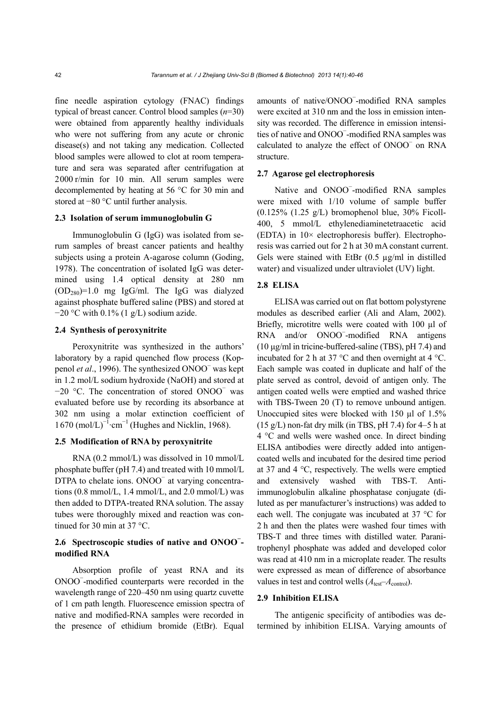fine needle aspiration cytology (FNAC) findings typical of breast cancer. Control blood samples (*n*=30) were obtained from apparently healthy individuals who were not suffering from any acute or chronic disease(s) and not taking any medication. Collected blood samples were allowed to clot at room temperature and sera was separated after centrifugation at 2000 r/min for 10 min. All serum samples were decomplemented by heating at 56 °C for 30 min and stored at −80 °C until further analysis.

# **2.3 Isolation of serum immunoglobulin G**

Immunoglobulin G (IgG) was isolated from serum samples of breast cancer patients and healthy subjects using a protein A-agarose column (Goding, 1978). The concentration of isolated IgG was determined using 1.4 optical density at 280 nm  $(OD<sub>280</sub>)=1.0$  mg IgG/ml. The IgG was dialyzed against phosphate buffered saline (PBS) and stored at  $-20$  °C with 0.1% (1 g/L) sodium azide.

# **2.4 Synthesis of peroxynitrite**

Peroxynitrite was synthesized in the authors' laboratory by a rapid quenched flow process (Koppenol *et al*., 1996). The synthesized ONOO<sup>−</sup> was kept in 1.2 mol/L sodium hydroxide (NaOH) and stored at −20 °C. The concentration of stored ONOO<sup>−</sup> was evaluated before use by recording its absorbance at 302 nm using a molar extinction coefficient of  $1670 \text{ (mol/L)}^{-1}$ ·cm<sup>-1</sup> (Hughes and Nicklin, 1968).

#### **2.5 Modification of RNA by peroxynitrite**

RNA (0.2 mmol/L) was dissolved in 10 mmol/L phosphate buffer (pH 7.4) and treated with 10 mmol/L DTPA to chelate ions. ONOO<sup>-</sup> at varying concentrations  $(0.8 \text{ mmol/L}, 1.4 \text{ mmol/L}, \text{and } 2.0 \text{ mmol/L})$  was then added to DTPA-treated RNA solution. The assay tubes were thoroughly mixed and reaction was continued for 30 min at 37 °C.

# **2.6 Spectroscopic studies of native and ONOO<sup>−</sup> modified RNA**

Absorption profile of yeast RNA and its ONOO<sup>−</sup> -modified counterparts were recorded in the wavelength range of 220–450 nm using quartz cuvette of 1 cm path length. Fluorescence emission spectra of native and modified-RNA samples were recorded in the presence of ethidium bromide (EtBr). Equal

amounts of native/ONOO<sup>−</sup> -modified RNA samples were excited at 310 nm and the loss in emission intensity was recorded. The difference in emission intensities of native and ONOO<sup>−</sup> -modified RNA samples was calculated to analyze the effect of ONOO<sup>−</sup> on RNA structure.

# **2.7 Agarose gel electrophoresis**

Native and ONOO<sup>−</sup> -modified RNA samples were mixed with 1/10 volume of sample buffer  $(0.125\%$   $(1.25 \text{ g/L})$  bromophenol blue, 30% Ficoll-400, 5 mmol/L ethylenediaminetetraacetic acid (EDTA) in 10× electrophoresis buffer). Electrophoresis was carried out for 2 h at 30 mA constant current. Gels were stained with EtBr  $(0.5 \text{ µg/ml} \text{ in distilled})$ water) and visualized under ultraviolet (UV) light.

# **2.8 ELISA**

ELISA was carried out on flat bottom polystyrene modules as described earlier (Ali and Alam, 2002). Briefly, microtitre wells were coated with 100 µl of RNA and/or ONOO<sup>−</sup> -modified RNA antigens (10 μg/ml in tricine-buffered-saline (TBS), pH 7.4) and incubated for 2 h at 37  $^{\circ}$ C and then overnight at 4  $^{\circ}$ C. Each sample was coated in duplicate and half of the plate served as control, devoid of antigen only. The antigen coated wells were emptied and washed thrice with TBS-Tween 20 (T) to remove unbound antigen. Unoccupied sites were blocked with 150 µl of 1.5%  $(15 \text{ g/L})$  non-fat dry milk (in TBS, pH 7.4) for 4–5 h at 4 °C and wells were washed once. In direct binding ELISA antibodies were directly added into antigencoated wells and incubated for the desired time period at 37 and 4 °C, respectively. The wells were emptied and extensively washed with TBS-T. Antiimmunoglobulin alkaline phosphatase conjugate (diluted as per manufacturer's instructions) was added to each well. The conjugate was incubated at 37 °C for 2 h and then the plates were washed four times with TBS-T and three times with distilled water. Paranitrophenyl phosphate was added and developed color was read at 410 nm in a microplate reader. The results were expressed as mean of difference of absorbance values in test and control wells ( $A$ <sub>test</sub>– $A$ <sub>control</sub>).

## **2.9 Inhibition ELISA**

The antigenic specificity of antibodies was determined by inhibition ELISA. Varying amounts of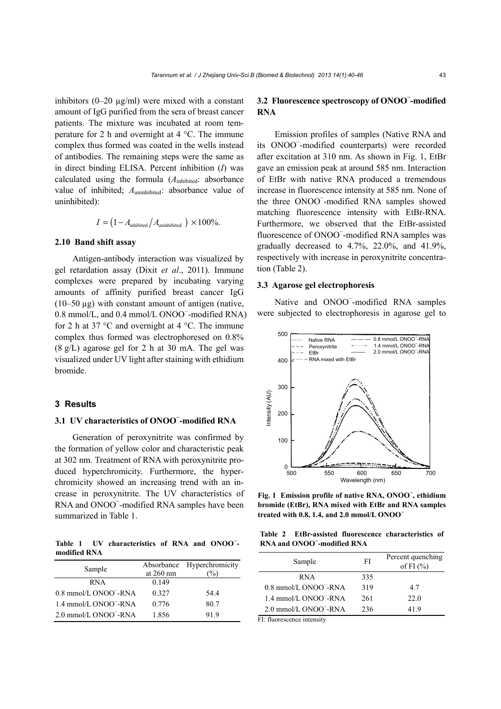inhibitors  $(0-20 \text{ µg/ml})$  were mixed with a constant amount of IgG purified from the sera of breast cancer patients. The mixture was incubated at room temperature for 2 h and overnight at 4 °C. The immune complex thus formed was coated in the wells instead of antibodies. The remaining steps were the same as in direct binding ELISA. Percent inhibition (*I*) was calculated using the formula (*A*inhibited: absorbance value of inhibited;  $A<sub>uninhibited</sub>$ : absorbance value of uninhibited):

$$
I = \left(1 - A_{\text{inhibited}}/A_{\text{uninhibited}}\right) \times 100\%.
$$

#### **2.10 Band shift assay**

Antigen-antibody interaction was visualized by gel retardation assay (Dixit *et al*., 2011). Immune complexes were prepared by incubating varying amounts of affinity purified breast cancer IgG  $(10-50 \mu g)$  with constant amount of antigen (native, 0.8 mmol/L, and 0.4 mmol/L ONOO<sup>−</sup> -modified RNA) for 2 h at 37  $\degree$ C and overnight at 4  $\degree$ C. The immune complex thus formed was electrophoresed on 0.8% (8 g/L) agarose gel for 2 h at 30 mA. The gel was visualized under UV light after staining with ethidium bromide.

## **3 Results**

# **3.1 UV characteristics of ONOO<sup>−</sup> -modified RNA**

Generation of peroxynitrite was confirmed by the formation of yellow color and characteristic peak at 302 nm. Treatment of RNA with peroxynitrite produced hyperchromicity. Furthermore, the hyperchromicity showed an increasing trend with an increase in peroxynitrite. The UV characteristics of RNA and ONOO<sup>−</sup> -modified RNA samples have been summarized in Table 1.

**Table 1 UV characteristics of RNA and ONOO<sup>−</sup> modified RNA** 

| Sample                            | Absorbance<br>at $260$ nm | Hyperchromicity<br>$\frac{1}{2}$ |
|-----------------------------------|---------------------------|----------------------------------|
| <b>RNA</b>                        | 0.149                     |                                  |
| 0.8 mmol/L ONOO <sup>-</sup> -RNA | 0.327                     | 54.4                             |
| 1.4 mmol/L ONOO <sup>-</sup> -RNA | 0.776                     | 80.7                             |
| 2.0 mmol/L ONOO <sup>-</sup> -RNA | 1.856                     | 91.9                             |

# **3.2 Fluorescence spectroscopy of ONOO<sup>−</sup> -modified RNA**

Emission profiles of samples (Native RNA and its ONOO<sup>−</sup> -modified counterparts) were recorded after excitation at 310 nm. As shown in Fig. 1, EtBr gave an emission peak at around 585 nm. Interaction of EtBr with native RNA produced a tremendous increase in fluorescence intensity at 585 nm. None of the three ONOO<sup>−</sup> -modified RNA samples showed matching fluorescence intensity with EtBr-RNA. Furthermore, we observed that the EtBr-assisted fluorescence of ONOO<sup>−</sup> -modified RNA samples was gradually decreased to 4.7%, 22.0%, and 41.9%, respectively with increase in peroxynitrite concentration (Table 2).

#### **3.3 Agarose gel electrophoresis**

Native and ONOO<sup>−</sup> -modified RNA samples were subjected to electrophoresis in agarose gel to



**Fig. 1 Emission profile of native RNA, ONOO<sup>−</sup> , ethidium bromide (EtBr), RNA mixed with EtBr and RNA samples treated with 0.8, 1.4, and 2.0 mmol/L ONOO<sup>−</sup>**

**Table 2 EtBr-assisted fluorescence characteristics of RNA and ONOO<sup>−</sup> -modified RNA** 

| Sample                            | FI  | Percent quenching<br>of FI $(\% )$ |
|-----------------------------------|-----|------------------------------------|
| <b>RNA</b>                        | 335 |                                    |
| 0.8 mmol/L ONOO <sup>-</sup> -RNA | 319 | 47                                 |
| 1.4 mmol/L ONOO <sup>-</sup> -RNA | 261 | 22.0                               |
| 2.0 mmol/L ONOO <sup>-</sup> -RNA | 236 | 419                                |

FI: fluorescence intensity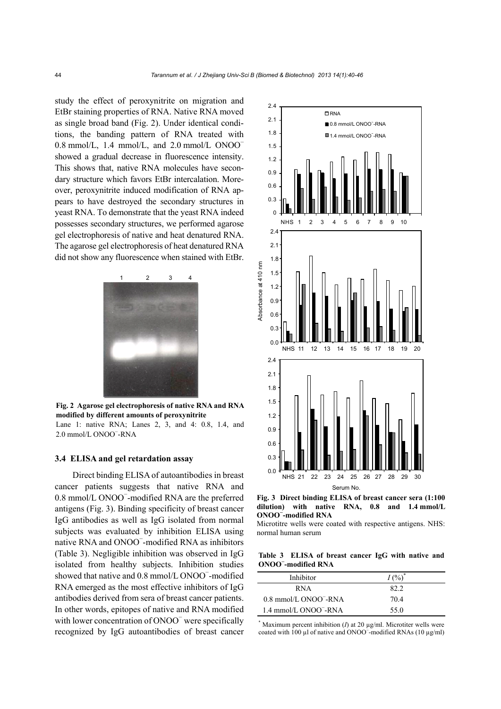study the effect of peroxynitrite on migration and EtBr staining properties of RNA. Native RNA moved as single broad band (Fig. 2). Under identical conditions, the banding pattern of RNA treated with 0.8 mmol/L, 1.4 mmol/L, and 2.0 mmol/L ONOO<sup>−</sup> showed a gradual decrease in fluorescence intensity. This shows that, native RNA molecules have secondary structure which favors EtBr intercalation. Moreover, peroxynitrite induced modification of RNA appears to have destroyed the secondary structures in yeast RNA. To demonstrate that the yeast RNA indeed possesses secondary structures, we performed agarose gel electrophoresis of native and heat denatured RNA. The agarose gel electrophoresis of heat denatured RNA did not show any fluorescence when stained with EtBr.



**Fig. 2 Agarose gel electrophoresis of native RNA and RNA modified by different amounts of peroxynitrite** 

 Lane 1: native RNA; Lanes 2, 3, and 4: 0.8, 1.4, and 2.0 mmol/L ONOO<sup>−</sup> -RNA

# **3.4 ELISA and gel retardation assay**

Direct binding ELISA of autoantibodies in breast cancer patients suggests that native RNA and 0.8 mmol/L ONOO<sup>−</sup> -modified RNA are the preferred antigens (Fig. 3). Binding specificity of breast cancer IgG antibodies as well as IgG isolated from normal subjects was evaluated by inhibition ELISA using native RNA and ONOO<sup>-</sup>-modified RNA as inhibitors (Table 3). Negligible inhibition was observed in IgG isolated from healthy subjects. Inhibition studies showed that native and 0.8 mmol/L ONOO<sup>−</sup> -modified RNA emerged as the most effective inhibitors of IgG antibodies derived from sera of breast cancer patients. In other words, epitopes of native and RNA modified with lower concentration of ONOO<sup>-</sup> were specifically recognized by IgG autoantibodies of breast cancer



**Fig. 3 Direct binding ELISA of breast cancer sera (1:100 dilution) with native RNA, 0.8 and 1.4 mmol/L ONOO<sup>−</sup> -modified RNA** 

Microtitre wells were coated with respective antigens. NHS: normal human serum

**Table 3 ELISA of breast cancer IgG with native and ONOO<sup>−</sup> -modified RNA** 

| Inhibitor                         | $I($ %) <sup>*</sup> |
|-----------------------------------|----------------------|
| <b>RNA</b>                        | 82.2                 |
| 0.8 mmol/L ONOO <sup>-</sup> -RNA | 704                  |
| 1.4 mmol/L ONOO <sup>-</sup> -RNA | 55.0                 |

 $*$  Maximum percent inhibition (*I*) at 20  $\mu$ g/ml. Microtiter wells were coated with 100 µl of native and ONOO<sup>−</sup> -modified RNAs (10 µg/ml)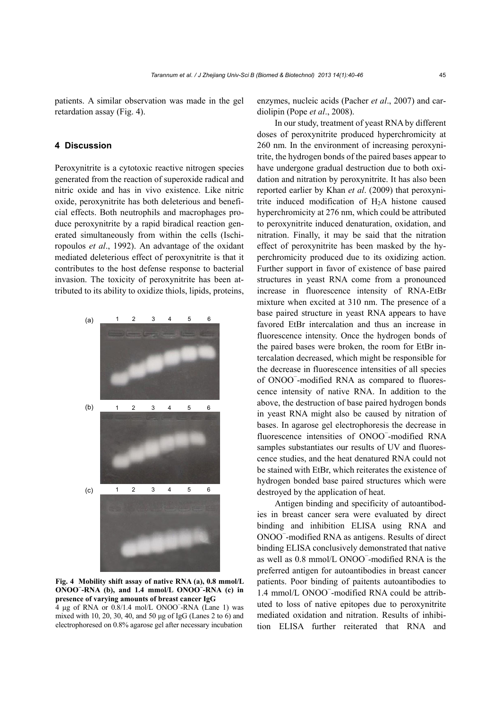patients. A similar observation was made in the gel retardation assay (Fig. 4).

# **4 Discussion**

Peroxynitrite is a cytotoxic reactive nitrogen species generated from the reaction of superoxide radical and nitric oxide and has in vivo existence. Like nitric oxide, peroxynitrite has both deleterious and beneficial effects. Both neutrophils and macrophages produce peroxynitrite by a rapid biradical reaction generated simultaneously from within the cells (Ischiropoulos *et al*., 1992). An advantage of the oxidant mediated deleterious effect of peroxynitrite is that it contributes to the host defense response to bacterial invasion. The toxicity of peroxynitrite has been attributed to its ability to oxidize thiols, lipids, proteins,



**Fig. 4 Mobility shift assay of native RNA (a), 0.8 mmol/L ONOO<sup>−</sup> -RNA (b), and 1.4 mmol/L ONOO<sup>−</sup> -RNA (c) in presence of varying amounts of breast cancer IgG** 

 $4 \mu$ g of RNA or 0.8/1.4 mol/L ONOO<sup>-</sup>-RNA (Lane 1) was mixed with 10, 20, 30, 40, and 50 μg of IgG (Lanes 2 to 6) and electrophoresed on 0.8% agarose gel after necessary incubation

enzymes, nucleic acids (Pacher *et al*., 2007) and cardiolipin (Pope *et al*., 2008).

In our study, treatment of yeast RNA by different doses of peroxynitrite produced hyperchromicity at 260 nm. In the environment of increasing peroxynitrite, the hydrogen bonds of the paired bases appear to have undergone gradual destruction due to both oxidation and nitration by peroxynitrite. It has also been reported earlier by Khan *et al*. (2009) that peroxynitrite induced modification of  $H<sub>2</sub>A$  histone caused hyperchromicity at 276 nm, which could be attributed to peroxynitrite induced denaturation, oxidation, and nitration. Finally, it may be said that the nitration effect of peroxynitrite has been masked by the hyperchromicity produced due to its oxidizing action. Further support in favor of existence of base paired structures in yeast RNA come from a pronounced increase in fluorescence intensity of RNA-EtBr mixture when excited at 310 nm. The presence of a base paired structure in yeast RNA appears to have favored EtBr intercalation and thus an increase in fluorescence intensity. Once the hydrogen bonds of the paired bases were broken, the room for EtBr intercalation decreased, which might be responsible for the decrease in fluorescence intensities of all species of ONOO<sup>−</sup> -modified RNA as compared to fluorescence intensity of native RNA. In addition to the above, the destruction of base paired hydrogen bonds in yeast RNA might also be caused by nitration of bases. In agarose gel electrophoresis the decrease in fluorescence intensities of ONOO<sup>−</sup> -modified RNA samples substantiates our results of UV and fluorescence studies, and the heat denatured RNA could not be stained with EtBr, which reiterates the existence of hydrogen bonded base paired structures which were destroyed by the application of heat.

Antigen binding and specificity of autoantibodies in breast cancer sera were evaluated by direct binding and inhibition ELISA using RNA and ONOO<sup>−</sup> -modified RNA as antigens. Results of direct binding ELISA conclusively demonstrated that native as well as 0.8 mmol/L ONOO<sup>−</sup> -modified RNA is the preferred antigen for autoantibodies in breast cancer patients. Poor binding of paitents autoantibodies to 1.4 mmol/L ONOO<sup>−</sup> -modified RNA could be attributed to loss of native epitopes due to peroxynitrite mediated oxidation and nitration. Results of inhibition ELISA further reiterated that RNA and